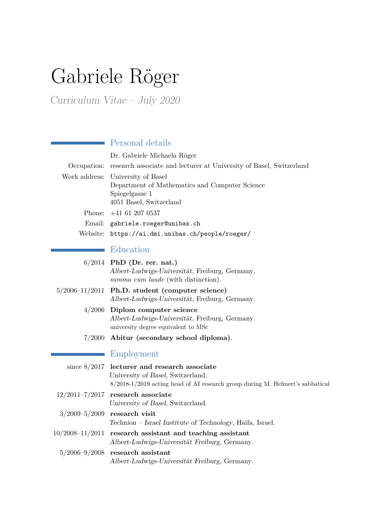# Gabriele Röger

Curriculum Vitae – July 2020

**The Co** 

|                     | Personal details                                                                      |
|---------------------|---------------------------------------------------------------------------------------|
|                     | Dr. Gabriele Michaela Röger                                                           |
|                     | Occupation: research associate and lecturer at University of Basel, Switzerland       |
| Work address:       | University of Basel                                                                   |
|                     | Department of Mathematics and Computer Science                                        |
|                     | Spiegelgasse 1                                                                        |
| Phone:              | 4051 Basel, Switzerland<br>$+41$ 61 207 0537                                          |
| Email:              |                                                                                       |
|                     | gabriele.roeger@unibas.ch                                                             |
| Website:            | https://ai.dmi.unibas.ch/people/roeger/                                               |
|                     | Education                                                                             |
|                     | $6/2014$ PhD (Dr. rer. nat.)                                                          |
|                     | Albert-Ludwigs-Universität, Freiburg, Germany,                                        |
|                     | summa cum laude (with distinction).                                                   |
|                     | $5/2006-11/2011$ Ph.D. student (computer science)                                     |
|                     | Albert-Ludwigs-Universität, Freiburg, Germany.                                        |
| 4/2006              | Diplom computer science                                                               |
|                     | Albert-Ludwigs-Universität, Freiburg, Germany.<br>university degree equivalent to MSc |
| 7/2000              | Abitur (secondary school diploma).                                                    |
|                     |                                                                                       |
|                     | Employment                                                                            |
| since $8/2017$      | lecturer and research associate                                                       |
|                     | University of Basel, Switzerland.                                                     |
|                     | $8/2018-1/2019$ acting head of AI research group during M. Helmert's sabbatical       |
| $12/2011 - 7/2017$  | research associate<br>University of Basel, Switzerland.                               |
| $3/2009 - 5/2009$   | research visit                                                                        |
|                     | Technion - Israel Institute of Technology, Haifa, Israel.                             |
| $10/2008 - 11/2011$ | research assistant and teaching assistant                                             |
|                     | Albert-Ludwigs-Universität Freiburg, Germany.                                         |
| $5/2006 - 9/2008$   | research assistant                                                                    |
|                     | Albert-Ludwigs-Universität Freiburg, Germany.                                         |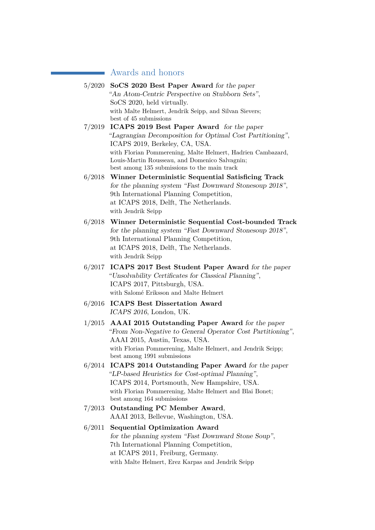# **Awards and honors**

|        | 5/2020 SoCS 2020 Best Paper Award for the paper                                                               |
|--------|---------------------------------------------------------------------------------------------------------------|
|        | "An Atom-Centric Perspective on Stubborn Sets",                                                               |
|        | SoCS 2020, held virtually.                                                                                    |
|        | with Malte Helmert, Jendrik Seipp, and Silvan Sievers;                                                        |
|        | best of 45 submissions                                                                                        |
| 7/2019 | ICAPS 2019 Best Paper Award for the paper                                                                     |
|        | "Lagrangian Decomposition for Optimal Cost Partitioning",                                                     |
|        | ICAPS 2019, Berkeley, CA, USA.                                                                                |
|        | with Florian Pommerening, Malte Helmert, Hadrien Cambazard,<br>Louis-Martin Rousseau, and Domenico Salvagnin; |
|        | best among 135 submissions to the main track                                                                  |
| 6/2018 | Winner Deterministic Sequential Satisficing Track                                                             |
|        | for the planning system "Fast Downward Stonesoup 2018",                                                       |
|        | 9th International Planning Competition,                                                                       |
|        | at ICAPS 2018, Delft, The Netherlands.                                                                        |
|        | with Jendrik Seipp                                                                                            |
| 6/2018 | Winner Deterministic Sequential Cost-bounded Track                                                            |
|        | for the planning system "Fast Downward Stonesoup 2018",                                                       |
|        | 9th International Planning Competition,                                                                       |
|        | at ICAPS 2018, Delft, The Netherlands.                                                                        |
|        | with Jendrik Seipp                                                                                            |
| 6/2017 | ICAPS 2017 Best Student Paper Award for the paper                                                             |
|        | "Unsolvability Certificates for Classical Planning",                                                          |
|        | ICAPS 2017, Pittsburgh, USA.                                                                                  |
|        | with Salomé Eriksson and Malte Helmert                                                                        |
| 6/2016 | <b>ICAPS Best Dissertation Award</b>                                                                          |
|        | ICAPS 2016, London, UK.                                                                                       |
| 1/2015 | AAAI 2015 Outstanding Paper Award for the paper                                                               |
|        | "From Non-Negative to General Operator Cost Partitioning",                                                    |
|        | AAAI 2015, Austin, Texas, USA.                                                                                |
|        | with Florian Pommerening, Malte Helmert, and Jendrik Seipp;                                                   |
|        | best among 1991 submissions                                                                                   |
|        | 6/2014 ICAPS 2014 Outstanding Paper Award for the paper                                                       |
|        | "LP-based Heuristics for Cost-optimal Planning",                                                              |
|        | ICAPS 2014, Portsmouth, New Hampshire, USA.                                                                   |
|        | with Florian Pommerening, Malte Helmert and Blai Bonet;                                                       |
|        | best among 164 submissions                                                                                    |
| 7/2013 | <b>Outstanding PC Member Award,</b>                                                                           |
|        | AAAI 2013, Bellevue, Washington, USA.                                                                         |
| 6/2011 | <b>Sequential Optimization Award</b>                                                                          |
|        | for the planning system "Fast Downward Stone Soup",                                                           |
|        | 7th International Planning Competition,                                                                       |
|        | at ICAPS 2011, Freiburg, Germany.                                                                             |
|        | with Malte Helmert, Erez Karpas and Jendrik Seipp                                                             |
|        |                                                                                                               |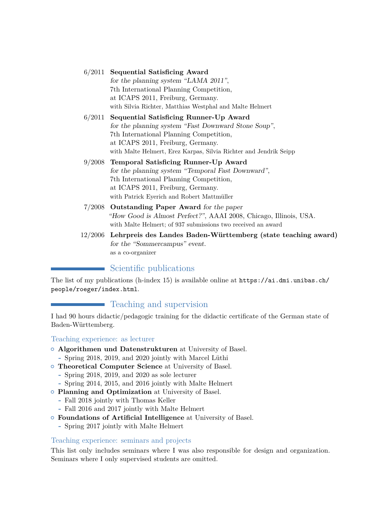## 6/2011 **Sequential Satisficing Award** for the planning system "LAMA 2011", 7th International Planning Competition, at ICAPS 2011, Freiburg, Germany. with Silvia Richter, Matthias Westphal and Malte Helmert

## 6/2011 **Sequential Satisficing Runner-Up Award** for the planning system "Fast Downward Stone Soup", 7th International Planning Competition, at ICAPS 2011, Freiburg, Germany. with Malte Helmert, Erez Karpas, Silvia Richter and Jendrik Seipp

- 9/2008 **Temporal Satisficing Runner-Up Award** for the planning system "Temporal Fast Downward", 7th International Planning Competition, at ICAPS 2011, Freiburg, Germany. with Patrick Eyerich and Robert Mattmüller
- 7/2008 **Outstanding Paper Award** for the paper "How Good is Almost Perfect?", AAAI 2008, Chicago, Illinois, USA. with Malte Helmert; of 937 submissions two received an award
- 12/2006 **Lehrpreis des Landes Baden-Württemberg (state teaching award)** for the "Sommercampus" event. as a co-organizer

# Scientific publications

The list of my publications (h-index 15) is available online at  $https://ai.dmi.unibas.ch/$ [people/roeger/index.html](https://ai.dmi.unibas.ch/people/roeger/index.html).

# **Teaching and supervision**

I had 90 hours didactic/pedagogic training for the didactic certificate of the German state of Baden-Württemberg.

## Teaching experience: as lecturer

- { **Algorithmen und Datenstrukturen** at University of Basel.
	- **-** Spring 2018, 2019, and 2020 jointly with Marcel Lüthi
- { **Theoretical Computer Science** at University of Basel.
	- **-** Spring 2018, 2019, and 2020 as sole lecturer
	- **-** Spring 2014, 2015, and 2016 jointly with Malte Helmert
- { **Planning and Optimization** at University of Basel.
	- **-** Fall 2018 jointly with Thomas Keller
	- **-** Fall 2016 and 2017 jointly with Malte Helmert
- { **Foundations of Artificial Intelligence** at University of Basel.
	- **-** Spring 2017 jointly with Malte Helmert

## Teaching experience: seminars and projects

This list only includes seminars where I was also responsible for design and organization. Seminars where I only supervised students are omitted.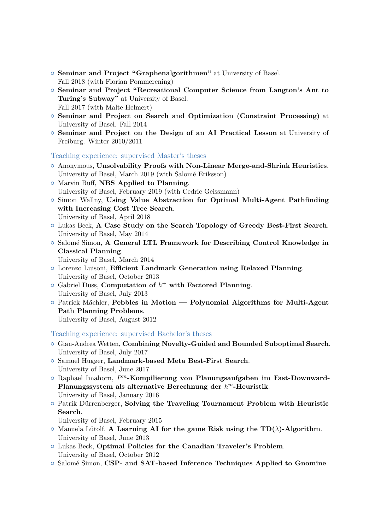- { **Seminar and Project "Graphenalgorithmen"** at University of Basel. Fall 2018 (with Florian Pommerening)
- { **Seminar and Project "Recreational Computer Science from Langton's Ant to Turing's Subway"** at University of Basel. Fall 2017 (with Malte Helmert)
- { **Seminar and Project on Search and Optimization (Constraint Processing)** at University of Basel. Fall 2014
- { **Seminar and Project on the Design of an AI Practical Lesson** at University of Freiburg. Winter 2010/2011

Teaching experience: supervised Master's theses

- { Anonymous, **Unsolvability Proofs with Non-Linear Merge-and-Shrink Heuristics**. University of Basel, March 2019 (with Salomé Eriksson)
- { Marvin Buff, **NBS Applied to Planning**. University of Basel, February 2019 (with Cedric Geissmann)
- { Simon Wallny, **Using Value Abstraction for Optimal Multi-Agent Pathfinding with Increasing Cost Tree Search**. University of Basel, April 2018
- { Lukas Beck, **A Case Study on the Search Topology of Greedy Best-First Search**. University of Basel, May 2014
- { Salomé Simon, **A General LTL Framework for Describing Control Knowledge in Classical Planning**.
	- University of Basel, March 2014
- { Lorenzo Luisoni, **Efficient Landmark Generation using Relaxed Planning**. University of Basel, October 2013
- { Gabriel Duss, **Computation of** *h* <sup>+</sup> **with Factored Planning**. University of Basel, July 2013
- { Patrick Mächler, **Pebbles in Motion Polynomial Algorithms for Multi-Agent Path Planning Problems**.

University of Basel, August 2012

Teaching experience: supervised Bachelor's theses

- { Gian-Andrea Wetten, **Combining Novelty-Guided and Bounded Suboptimal Search**. University of Basel, July 2017
- { Samuel Hugger, **Landmark-based Meta Best-First Search**. University of Basel, June 2017
- { Raphael Imahorn, *P <sup>m</sup>***-Kompilierung von Planungsaufgaben im Fast-Downward-Planungssystem als alternative Berechnung der** *h <sup>m</sup>***-Heuristik**. University of Basel, January 2016
- { Patrik Dürrenberger, **Solving the Traveling Tournament Problem with Heuristic Search**.

University of Basel, February 2015

- { Manuela Lütolf, **A Learning AI for the game Risk using the TD(***λ***)-Algorithm**. University of Basel, June 2013
- { Lukas Beck, **Optimal Policies for the Canadian Traveler's Problem**. University of Basel, October 2012
- { Salomé Simon, **CSP- and SAT-based Inference Techniques Applied to Gnomine**.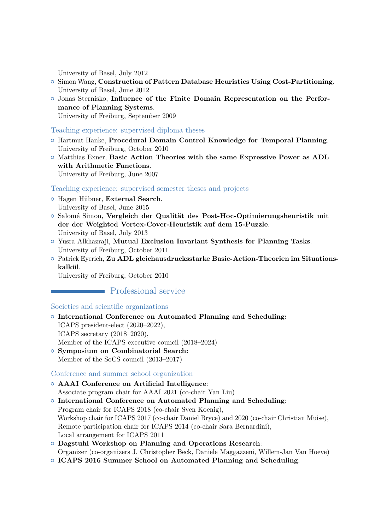University of Basel, July 2012

- { Simon Wang, **Construction of Pattern Database Heuristics Using Cost-Partitioning**. University of Basel, June 2012
- { Jonas Sternisko, **Influence of the Finite Domain Representation on the Performance of Planning Systems**. University of Freiburg, September 2009

### Teaching experience: supervised diploma theses

- { Hartmut Hanke, **Procedural Domain Control Knowledge for Temporal Planning**. University of Freiburg, October 2010
- { Matthias Exner, **Basic Action Theories with the same Expressive Power as ADL with Arithmetic Functions**. University of Freiburg, June 2007

Teaching experience: supervised semester theses and projects

- { Hagen Hübner, **External Search**. University of Basel, June 2015
- { Salomé Simon, **Vergleich der Qualität des Post-Hoc-Optimierungsheuristik mit der der Weighted Vertex-Cover-Heuristik auf dem 15-Puzzle**. University of Basel, July 2013
- { Yusra Alkhazraji, **Mutual Exclusion Invariant Synthesis for Planning Tasks**. University of Freiburg, October 2011
- { Patrick Eyerich, **Zu ADL gleichausdrucksstarke Basic-Action-Theorien im Situationskalkül**.

University of Freiburg, October 2010

## **Professional service**

#### Societies and scientific organizations

- { **International Conference on Automated Planning and Scheduling:** ICAPS president-elect (2020–2022), ICAPS secretary (2018–2020), Member of the ICAPS executive council (2018–2024) { **Symposium on Combinatorial Search:**
- Member of the SoCS council (2013–2017)

Conference and summer school organization

- { **AAAI Conference on Artificial Intelligence**: Associate program chair for AAAI 2021 (co-chair Yan Liu)
- { **International Conference on Automated Planning and Scheduling**: Program chair for ICAPS 2018 (co-chair Sven Koenig), Workshop chair for ICAPS 2017 (co-chair Daniel Bryce) and 2020 (co-chair Christian Muise), Remote participation chair for ICAPS 2014 (co-chair Sara Bernardini), Local arrangement for ICAPS 2011
- { **Dagstuhl Workshop on Planning and Operations Research**: Organizer (co-organizers J. Christopher Beck, Daniele Maggazzeni, Willem-Jan Van Hoeve)
- { **ICAPS 2016 Summer School on Automated Planning and Scheduling**: